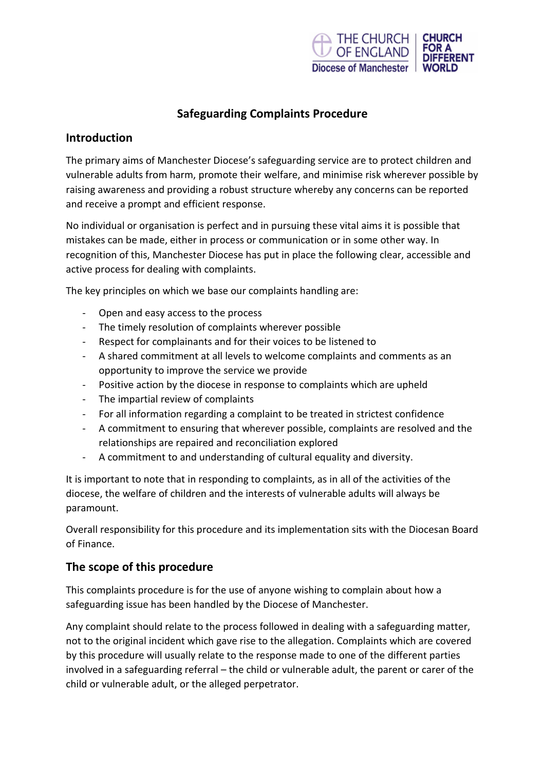

# **Safeguarding Complaints Procedure**

#### **Introduction**

The primary aims of Manchester Diocese's safeguarding service are to protect children and vulnerable adults from harm, promote their welfare, and minimise risk wherever possible by raising awareness and providing a robust structure whereby any concerns can be reported and receive a prompt and efficient response.

No individual or organisation is perfect and in pursuing these vital aims it is possible that mistakes can be made, either in process or communication or in some other way. In recognition of this, Manchester Diocese has put in place the following clear, accessible and active process for dealing with complaints.

The key principles on which we base our complaints handling are:

- Open and easy access to the process
- The timely resolution of complaints wherever possible
- Respect for complainants and for their voices to be listened to
- A shared commitment at all levels to welcome complaints and comments as an opportunity to improve the service we provide
- Positive action by the diocese in response to complaints which are upheld
- The impartial review of complaints
- For all information regarding a complaint to be treated in strictest confidence
- A commitment to ensuring that wherever possible, complaints are resolved and the relationships are repaired and reconciliation explored
- A commitment to and understanding of cultural equality and diversity.

It is important to note that in responding to complaints, as in all of the activities of the diocese, the welfare of children and the interests of vulnerable adults will always be paramount.

Overall responsibility for this procedure and its implementation sits with the Diocesan Board of Finance.

### **The scope of this procedure**

This complaints procedure is for the use of anyone wishing to complain about how a safeguarding issue has been handled by the Diocese of Manchester.

Any complaint should relate to the process followed in dealing with a safeguarding matter, not to the original incident which gave rise to the allegation. Complaints which are covered by this procedure will usually relate to the response made to one of the different parties involved in a safeguarding referral – the child or vulnerable adult, the parent or carer of the child or vulnerable adult, or the alleged perpetrator.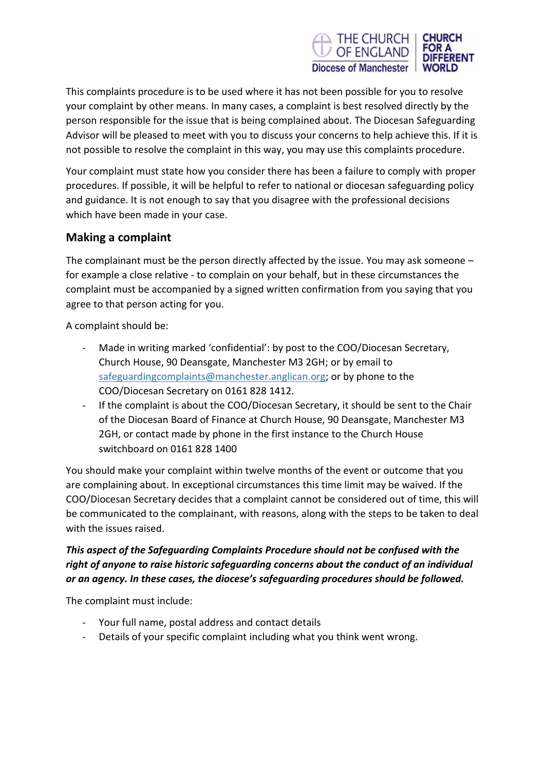

This complaints procedure is to be used where it has not been possible for you to resolve your complaint by other means. In many cases, a complaint is best resolved directly by the person responsible for the issue that is being complained about. The Diocesan Safeguarding Advisor will be pleased to meet with you to discuss your concerns to help achieve this. If it is not possible to resolve the complaint in this way, you may use this complaints procedure.

Your complaint must state how you consider there has been a failure to comply with proper procedures. If possible, it will be helpful to refer to national or diocesan safeguarding policy and guidance. It is not enough to say that you disagree with the professional decisions which have been made in your case.

# **Making a complaint**

The complainant must be the person directly affected by the issue. You may ask someone  $$ for example a close relative - to complain on your behalf, but in these circumstances the complaint must be accompanied by a signed written confirmation from you saying that you agree to that person acting for you.

A complaint should be:

- Made in writing marked 'confidential': by post to the COO/Diocesan Secretary, Church House, 90 Deansgate, Manchester M3 2GH; or by email to safeguardingcomplaints@manchester.anglican.org; or by phone to the COO/Diocesan Secretary on 0161 828 1412.
- If the complaint is about the COO/Diocesan Secretary, it should be sent to the Chair of the Diocesan Board of Finance at Church House, 90 Deansgate, Manchester M3 2GH, or contact made by phone in the first instance to the Church House switchboard on 0161 828 1400

You should make your complaint within twelve months of the event or outcome that you are complaining about. In exceptional circumstances this time limit may be waived. If the COO/Diocesan Secretary decides that a complaint cannot be considered out of time, this will be communicated to the complainant, with reasons, along with the steps to be taken to deal with the issues raised.

## *This aspect of the Safeguarding Complaints Procedure should not be confused with the right of anyone to raise historic safeguarding concerns about the conduct of an individual or an agency. In these cases, the diocese's safeguarding procedures should be followed.*

The complaint must include:

- Your full name, postal address and contact details
- Details of your specific complaint including what you think went wrong.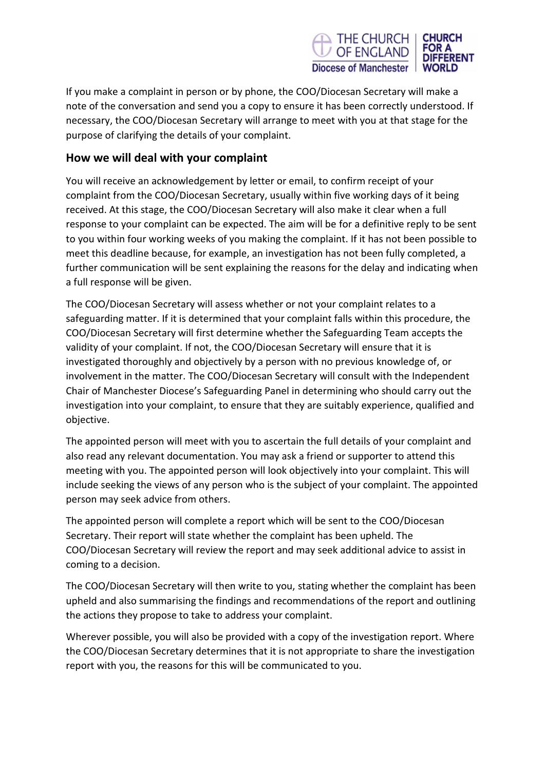

If you make a complaint in person or by phone, the COO/Diocesan Secretary will make a note of the conversation and send you a copy to ensure it has been correctly understood. If necessary, the COO/Diocesan Secretary will arrange to meet with you at that stage for the purpose of clarifying the details of your complaint.

### **How we will deal with your complaint**

You will receive an acknowledgement by letter or email, to confirm receipt of your complaint from the COO/Diocesan Secretary, usually within five working days of it being received. At this stage, the COO/Diocesan Secretary will also make it clear when a full response to your complaint can be expected. The aim will be for a definitive reply to be sent to you within four working weeks of you making the complaint. If it has not been possible to meet this deadline because, for example, an investigation has not been fully completed, a further communication will be sent explaining the reasons for the delay and indicating when a full response will be given.

The COO/Diocesan Secretary will assess whether or not your complaint relates to a safeguarding matter. If it is determined that your complaint falls within this procedure, the COO/Diocesan Secretary will first determine whether the Safeguarding Team accepts the validity of your complaint. If not, the COO/Diocesan Secretary will ensure that it is investigated thoroughly and objectively by a person with no previous knowledge of, or involvement in the matter. The COO/Diocesan Secretary will consult with the Independent Chair of Manchester Diocese's Safeguarding Panel in determining who should carry out the investigation into your complaint, to ensure that they are suitably experience, qualified and objective.

The appointed person will meet with you to ascertain the full details of your complaint and also read any relevant documentation. You may ask a friend or supporter to attend this meeting with you. The appointed person will look objectively into your complaint. This will include seeking the views of any person who is the subject of your complaint. The appointed person may seek advice from others.

The appointed person will complete a report which will be sent to the COO/Diocesan Secretary. Their report will state whether the complaint has been upheld. The COO/Diocesan Secretary will review the report and may seek additional advice to assist in coming to a decision.

The COO/Diocesan Secretary will then write to you, stating whether the complaint has been upheld and also summarising the findings and recommendations of the report and outlining the actions they propose to take to address your complaint.

Wherever possible, you will also be provided with a copy of the investigation report. Where the COO/Diocesan Secretary determines that it is not appropriate to share the investigation report with you, the reasons for this will be communicated to you.